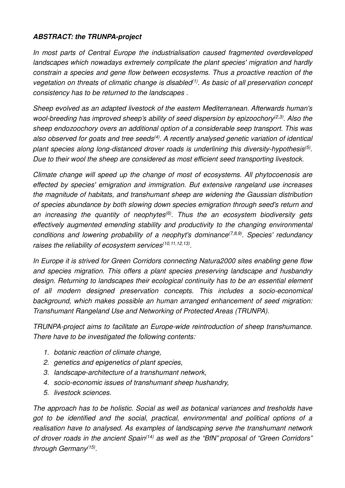## **ABSTRACT: the TRUNPA-project**

In most parts of Central Europe the industrialisation caused fragmented overdeveloped landscapes which nowadays extremely complicate the plant species' migration and hardly constrain a species and gene flow between ecosystems. Thus a proactive reaction of the vegetation on threats of climatic change is disabled<sup>(1)</sup>. As basic of all preservation concept consistency has to be returned to the landscapes .

Sheep evolved as an adapted livestock of the eastern Mediterranean. Afterwards human's wool-breeding has improved sheep's ability of seed dispersion by epizoochory<sup>(2,3)</sup>. Also the sheep endozoochory overs an additional option of a considerable seep transport. This was also observed for goats and tree seeds<sup>(4)</sup>. A recently analysed genetic variation of identical plant species along long-distanced drover roads is underlining this diversity-hypothesis<sup>(5)</sup>. Due to their wool the sheep are considered as most efficient seed transporting livestock.

Climate change will speed up the change of most of ecosystems. All phytocoenosis are effected by species' emigration and immigration. But extensive rangeland use increases the magnitude of habitats, and transhumant sheep are widening the Gaussian distribution of species abundance by both slowing down species emigration through seed's return and an increasing the quantity of neophytes<sup> $(6)$ </sup>. Thus the an ecosystem biodiversity gets effectively augmented emending stability and productivity to the changing environmental conditions and lowering probability of a neophyt's dominance  $(7,8,9)$ . Species' redundancy raises the reliability of ecosystem services<sup>(10,11,12,13)</sup>.

In Europe it is strived for Green Corridors connecting Natura2000 sites enabling gene flow and species migration. This offers a plant species preserving landscape and husbandry design. Returning to landscapes their ecological continuity has to be an essential element of all modern designed preservation concepts. This includes a socio-economical background, which makes possible an human arranged enhancement of seed migration: Transhumant Rangeland Use and Networking of Protected Areas (TRUNPA).

TRUNPA-project aims to facilitate an Europe-wide reintroduction of sheep transhumance. There have to be investigated the following contents:

- 1. botanic reaction of climate change,
- 2. genetics and epigenetics of plant species,
- 3. landscape-architecture of a transhumant network,
- 4. socio-economic issues of transhumant sheep hushandry,
- 5. livestock sciences.

The approach has to be holistic. Social as well as botanical variances and tresholds have got to be identified and the social, practical, environmental and political options of a realisation have to analysed. As examples of landscaping serve the transhumant network of drover roads in the ancient Spain<sup> $(14)$ </sup> as well as the "BfN" proposal of "Green Corridors" through Germany<sup>(15)</sup>.